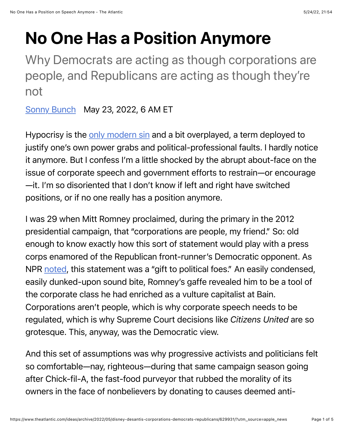# No One Has a Position Anymore

Why Democrats are acting as though corporations are people, and Republicans are acting as though they're not

[Sonny Bunch](https://www.theatlantic.com/author/sonny-bunch/) May 23, 2022, 6 AM ET

Hypocrisy is the [only modern sin](https://www.politico.com/blogs/media/2014/02/gawkers-nick-denton-talks-to-playboy-183736) and a bit overplayed, a term deployed to justify one's own power grabs and political-professional faults. I hardly notice it anymore. But I confess I'm a little shocked by the abrupt about-face on the issue of corporate speech and government efforts to restrain—or encourage —it. I'm so disoriented that I don't know if left and right have switched positions, or if no one really has a position anymore.

I was 29 when Mitt Romney proclaimed, during the primary in the 2012 presidential campaign, that "corporations are people, my friend." So: old enough to know exactly how this sort of statement would play with a press corps enamored of the Republican front-runner's Democratic opponent. As NPR [noted](https://www.npr.org/sections/itsallpolitics/2011/08/11/139551684/romneys-corporations-are-people-getting-lots-of-mileage), this statement was a "gift to political foes." An easily condensed, easily dunked-upon sound bite, Romney's gaffe revealed him to be a tool of the corporate class he had enriched as a vulture capitalist at Bain. Corporations aren't people, which is why corporate speech needs to be regulated, which is why Supreme Court decisions like *Citizens United* are so grotesque. This, anyway, was the Democratic view.

And this set of assumptions was why progressive activists and politicians felt so comfortable—nay, righteous—during that same campaign season going after Chick-fil-A, the fast-food purveyor that rubbed the morality of its owners in the face of nonbelievers by donating to causes deemed anti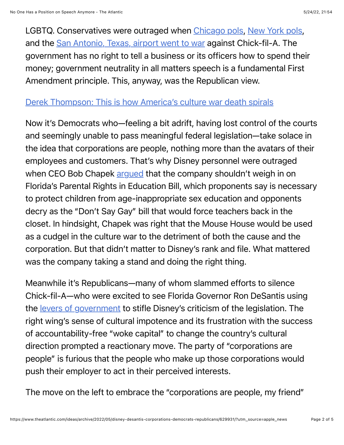LGBTQ. Conservatives were outraged when [Chicago pols](https://www.cnn.com/2012/09/23/us/chick-fil-a-controversy/index.html), [New York pols,](https://nypost.com/2021/07/13/new-york-lawmakers-want-to-ban-chick-fil-a-from-rest-stops/) and the [San Antonio, Texas, airport went to war](https://www.usatoday.com/story/money/food/2020/09/14/san-antonio-airport-chickfila-not-opening/5798396002/) against Chick-fil-A. The government has no right to tell a business or its officers how to spend their money; government neutrality in all matters speech is a fundamental First Amendment principle. This, anyway, was the Republican view.

### [Derek Thompson: This is how America's culture war death spirals](https://www.theatlantic.com/newsletters/archive/2022/05/ron-desantis-disney-florida-republicans/629722/)

Now it's Democrats who—feeling a bit adrift, having lost control of the courts and seemingly unable to pass meaningful federal legislation—take solace in the idea that corporations are people, nothing more than the avatars of their employees and customers. That's why Disney personnel were outraged when CEO Bob Chapek [argued](https://www.hollywoodreporter.com/business/business-news/disney-ceo-bob-chapek-florida-dont-say-gay-bill-response-1235105879/) that the company shouldn't weigh in on Florida's Parental Rights in Education Bill, which proponents say is necessary to protect children from age-inappropriate sex education and opponents decry as the "Don't Say Gay" bill that would force teachers back in the closet. In hindsight, Chapek was right that the Mouse House would be used as a cudgel in the culture war to the detriment of both the cause and the corporation. But that didn't matter to Disney's rank and file. What mattered was the company taking a stand and doing the right thing.

Meanwhile it's Republicans—many of whom slammed efforts to silence Chick-fil-A—who were excited to see Florida Governor Ron DeSantis using the [levers of government](https://www.theatlantic.com/newsletters/archive/2022/05/ron-desantis-disney-florida-republicans/629722/) to stifle Disney's criticism of the legislation. The right wing's sense of cultural impotence and its frustration with the success of accountability-free "woke capital" to change the country's cultural direction prompted a reactionary move. The party of "corporations are people" is furious that the people who make up those corporations would push their employer to act in their perceived interests.

The move on the left to embrace the "corporations are people, my friend"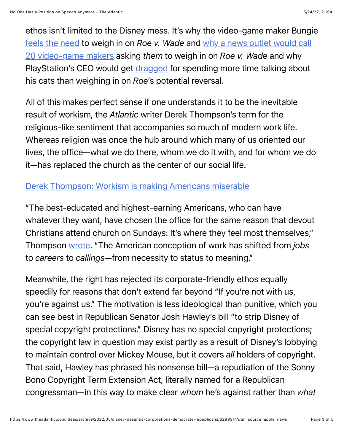ethos isn't limited to the Disney mess. It's why the video-game maker Bungie [feels the need](https://twitter.com/SonnyBunch/status/1521861654190989312) to weigh in on *Roe v. Wade* [and why a news outlet would call](https://www.washingtonpost.com/video-games/2022/05/11/roe-v-wade-abortion-bungie-microsoft-activision-blizzard/) 20 video-game makers asking *them* to weigh in on *Roe v. Wade* and why PlayStation's CEO would get [dragged](https://twitter.com/jasonschreier/status/1524833769580023829) for spending more time talking about his cats than weighing in on *Roe*'s potential reversal.

All of this makes perfect sense if one understands it to be the inevitable result of workism, the *Atlantic* writer Derek Thompson's term for the religious-like sentiment that accompanies so much of modern work life. Whereas religion was once the hub around which many of us oriented our lives, the office—what we do there, whom we do it with, and for whom we do it—has replaced the church as the center of our social life.

# [Derek Thompson: Workism is making Americans miserable](https://www.theatlantic.com/ideas/archive/2019/02/religion-workism-making-americans-miserable/583441/)

"The best-educated and highest-earning Americans, who can have whatever they want, have chosen the office for the same reason that devout Christians attend church on Sundays: It's where they feel most themselves," Thompson [wrote](https://www.theatlantic.com/ideas/archive/2019/02/religion-workism-making-americans-miserable/583441/). "The American conception of work has shifted from *jobs* to *careers* to *callings*—from necessity to status to meaning."

Meanwhile, the right has rejected its corporate-friendly ethos equally speedily for reasons that don't extend far beyond "If you're not with us, you're against us." The motivation is less ideological than punitive, which you can see best in Republican Senator Josh Hawley's bill "to strip Disney of special copyright protections." Disney has no special copyright protections; the copyright law in question may exist partly as a result of Disney's lobbying to maintain control over Mickey Mouse, but it covers *all* holders of copyright. That said, Hawley has phrased his nonsense bill—a repudiation of the Sonny Bono Copyright Term Extension Act, literally named for a Republican congressman—in this way to make clear *whom* he's against rather than *what*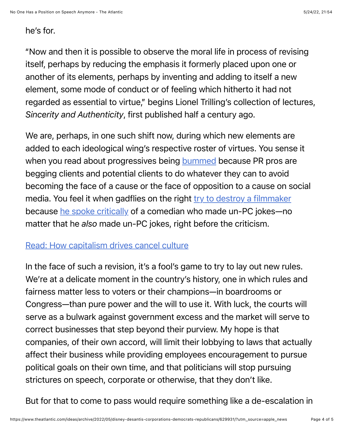#### he's for*.*

"Now and then it is possible to observe the moral life in process of revising itself, perhaps by reducing the emphasis it formerly placed upon one or another of its elements, perhaps by inventing and adding to itself a new element, some mode of conduct or of feeling which hitherto it had not regarded as essential to virtue," begins Lionel Trilling's collection of lectures, *Sincerity and Authenticity*, first published half a century ago.

We are, perhaps, in one such shift now, during which new elements are added to each ideological wing's respective roster of virtues. You sense it when you read about progressives being [bummed](https://popular.info/p/pr-giant-advising-corporate-clients?s=r) because PR pros are begging clients and potential clients to do whatever they can to avoid becoming the face of a cause or the face of opposition to a cause on social media. You feel it when gadflies on the right [try to destroy a filmmaker](https://www.thewrap.com/mike-cernovich-urges-media-matters-boycott-of-disney-after-james-gunn-rehired/) because [he spoke critically](https://nypost.com/2018/07/24/james-gunn-should-be-the-last-victim-of-the-outrage-mob/) of a comedian who made un-PC jokes-no matter that he *also* made un-PC jokes, right before the criticism.

## [Read: How capitalism drives cancel culture](https://www.theatlantic.com/international/archive/2020/07/cancel-culture-and-problem-woke-capitalism/614086/)

In the face of such a revision, it's a fool's game to try to lay out new rules. We're at a delicate moment in the country's history, one in which rules and fairness matter less to voters or their champions—in boardrooms or Congress—than pure power and the will to use it. With luck, the courts will serve as a bulwark against government excess and the market will serve to correct businesses that step beyond their purview. My hope is that companies, of their own accord, will limit their lobbying to laws that actually affect their business while providing employees encouragement to pursue political goals on their own time, and that politicians will stop pursuing strictures on speech, corporate or otherwise, that they don't like.

But for that to come to pass would require something like a de-escalation in